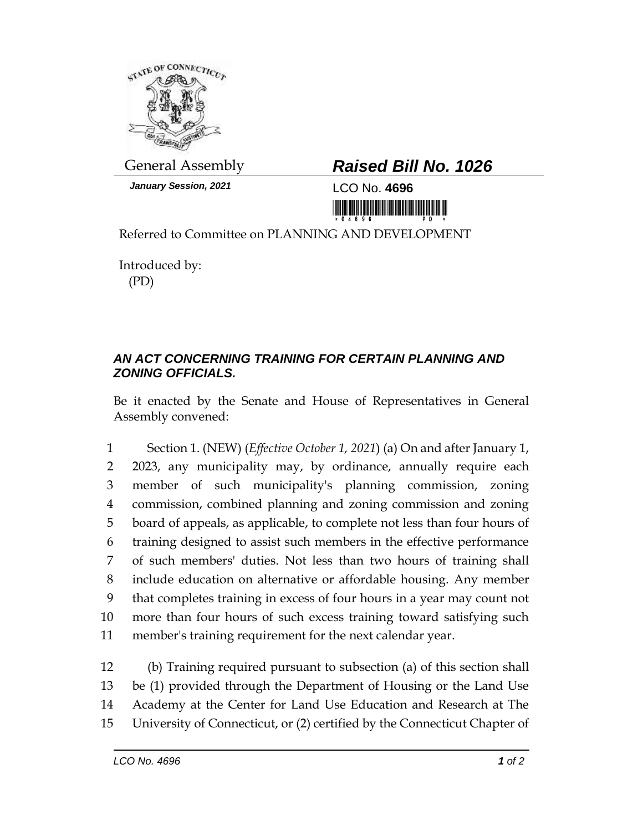

*January Session, 2021* LCO No. **4696**

## General Assembly *Raised Bill No. 1026*

Referred to Committee on PLANNING AND DEVELOPMENT

Introduced by: (PD)

## *AN ACT CONCERNING TRAINING FOR CERTAIN PLANNING AND ZONING OFFICIALS.*

Be it enacted by the Senate and House of Representatives in General Assembly convened:

 Section 1. (NEW) (*Effective October 1, 2021*) (a) On and after January 1, 2023, any municipality may, by ordinance, annually require each member of such municipality's planning commission, zoning commission, combined planning and zoning commission and zoning board of appeals, as applicable, to complete not less than four hours of training designed to assist such members in the effective performance of such members' duties. Not less than two hours of training shall include education on alternative or affordable housing. Any member that completes training in excess of four hours in a year may count not more than four hours of such excess training toward satisfying such member's training requirement for the next calendar year.

 (b) Training required pursuant to subsection (a) of this section shall be (1) provided through the Department of Housing or the Land Use Academy at the Center for Land Use Education and Research at The University of Connecticut, or (2) certified by the Connecticut Chapter of